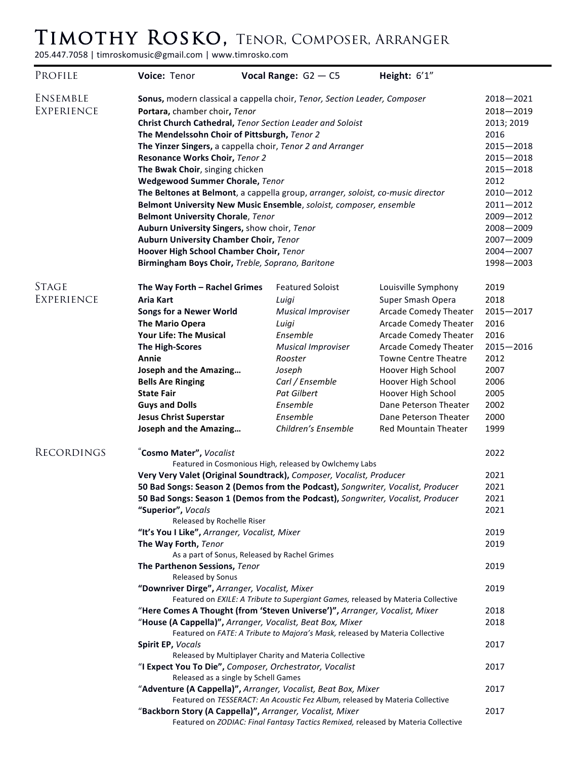## Timothy Rosko, Tenor, Composer, Arranger

205.447.7058 | timroskomusic@gmail.com | www.timrosko.com

| PROFILE           | Voice: Tenor                                                                                                                              | Vocal Range: $G2 - C5$                                                    | Height: 6'1"                 |               |  |
|-------------------|-------------------------------------------------------------------------------------------------------------------------------------------|---------------------------------------------------------------------------|------------------------------|---------------|--|
| ENSEMBLE          |                                                                                                                                           | Sonus, modern classical a cappella choir, Tenor, Section Leader, Composer |                              | $2018 - 2021$ |  |
| <b>EXPERIENCE</b> | Portara, chamber choir, Tenor                                                                                                             |                                                                           |                              |               |  |
|                   | Christ Church Cathedral, Tenor Section Leader and Soloist                                                                                 |                                                                           |                              |               |  |
|                   | The Mendelssohn Choir of Pittsburgh, Tenor 2                                                                                              |                                                                           |                              |               |  |
|                   | The Yinzer Singers, a cappella choir, Tenor 2 and Arranger                                                                                |                                                                           |                              |               |  |
|                   | Resonance Works Choir, Tenor 2                                                                                                            |                                                                           |                              |               |  |
|                   | The Bwak Choir, singing chicken                                                                                                           |                                                                           |                              |               |  |
|                   | Wedgewood Summer Chorale, Tenor                                                                                                           |                                                                           |                              |               |  |
|                   | The Beltones at Belmont, a cappella group, arranger, soloist, co-music director                                                           |                                                                           |                              |               |  |
|                   | Belmont University New Music Ensemble, soloist, composer, ensemble                                                                        |                                                                           |                              |               |  |
|                   | <b>Belmont University Chorale, Tenor</b>                                                                                                  |                                                                           |                              |               |  |
|                   | Auburn University Singers, show choir, Tenor                                                                                              |                                                                           |                              |               |  |
|                   | Auburn University Chamber Choir, Tenor                                                                                                    |                                                                           |                              |               |  |
|                   | Hoover High School Chamber Choir, Tenor                                                                                                   |                                                                           |                              |               |  |
|                   | Birmingham Boys Choir, Treble, Soprano, Baritone                                                                                          |                                                                           |                              |               |  |
| <b>STAGE</b>      | The Way Forth - Rachel Grimes                                                                                                             | <b>Featured Soloist</b>                                                   | Louisville Symphony          | 2019          |  |
| <b>EXPERIENCE</b> | <b>Aria Kart</b>                                                                                                                          | Luigi                                                                     | Super Smash Opera            | 2018          |  |
|                   | <b>Songs for a Newer World</b>                                                                                                            | <b>Musical Improviser</b>                                                 | Arcade Comedy Theater        | $2015 - 2017$ |  |
|                   | <b>The Mario Opera</b>                                                                                                                    | Luigi                                                                     | <b>Arcade Comedy Theater</b> | 2016          |  |
|                   | <b>Your Life: The Musical</b>                                                                                                             | Ensemble                                                                  | <b>Arcade Comedy Theater</b> | 2016          |  |
|                   | <b>The High-Scores</b>                                                                                                                    | <b>Musical Improviser</b>                                                 | <b>Arcade Comedy Theater</b> | $2015 - 2016$ |  |
|                   | Annie                                                                                                                                     | Rooster                                                                   | <b>Towne Centre Theatre</b>  | 2012          |  |
|                   | Joseph and the Amazing                                                                                                                    | Joseph                                                                    | Hoover High School           | 2007          |  |
|                   | <b>Bells Are Ringing</b>                                                                                                                  | Carl / Ensemble                                                           | Hoover High School           | 2006          |  |
|                   | <b>State Fair</b>                                                                                                                         | Pat Gilbert                                                               | Hoover High School           | 2005          |  |
|                   | <b>Guys and Dolls</b>                                                                                                                     | Ensemble                                                                  | Dane Peterson Theater        | 2002          |  |
|                   | <b>Jesus Christ Superstar</b>                                                                                                             | Ensemble                                                                  | Dane Peterson Theater        | 2000          |  |
|                   | Joseph and the Amazing                                                                                                                    | Children's Ensemble                                                       | <b>Red Mountain Theater</b>  | 1999          |  |
| RECORDINGS        | Cosmo Mater", Vocalist                                                                                                                    |                                                                           |                              |               |  |
|                   | Featured in Cosmonious High, released by Owlchemy Labs                                                                                    |                                                                           |                              |               |  |
|                   | Very Very Valet (Original Soundtrack), Composer, Vocalist, Producer                                                                       |                                                                           |                              |               |  |
|                   | 50 Bad Songs: Season 2 (Demos from the Podcast), Songwriter, Vocalist, Producer                                                           |                                                                           |                              |               |  |
|                   | 50 Bad Songs: Season 1 (Demos from the Podcast), Songwriter, Vocalist, Producer                                                           |                                                                           |                              |               |  |
|                   | "Superior", Vocals                                                                                                                        |                                                                           |                              |               |  |
|                   | Released by Rochelle Riser                                                                                                                |                                                                           |                              |               |  |
|                   | "It's You I Like", Arranger, Vocalist, Mixer<br>The Way Forth, Tenor                                                                      |                                                                           |                              |               |  |
|                   | As a part of Sonus, Released by Rachel Grimes                                                                                             |                                                                           |                              |               |  |
|                   | The Parthenon Sessions, Tenor                                                                                                             |                                                                           |                              |               |  |
|                   | Released by Sonus                                                                                                                         |                                                                           |                              |               |  |
|                   | "Downriver Dirge", Arranger, Vocalist, Mixer                                                                                              |                                                                           |                              |               |  |
|                   | Featured on EXILE: A Tribute to Supergiant Games, released by Materia Collective                                                          |                                                                           |                              |               |  |
|                   | "Here Comes A Thought (from 'Steven Universe')", Arranger, Vocalist, Mixer                                                                |                                                                           |                              |               |  |
|                   | "House (A Cappella)", Arranger, Vocalist, Beat Box, Mixer<br>Featured on FATE: A Tribute to Majora's Mask, released by Materia Collective |                                                                           |                              |               |  |
|                   | Spirit EP, Vocals                                                                                                                         |                                                                           |                              |               |  |
|                   | Released by Multiplayer Charity and Materia Collective                                                                                    |                                                                           |                              |               |  |
|                   | "I Expect You To Die", Composer, Orchestrator, Vocalist                                                                                   |                                                                           |                              |               |  |
|                   | Released as a single by Schell Games                                                                                                      |                                                                           |                              |               |  |
|                   | "Adventure (A Cappella)", Arranger, Vocalist, Beat Box, Mixer                                                                             |                                                                           |                              |               |  |
|                   | Featured on TESSERACT: An Acoustic Fez Album, released by Materia Collective                                                              |                                                                           |                              |               |  |
|                   | "Backborn Story (A Cappella)", Arranger, Vocalist, Mixer                                                                                  |                                                                           |                              |               |  |
|                   | Featured on ZODIAC: Final Fantasy Tactics Remixed, released by Materia Collective                                                         |                                                                           |                              |               |  |